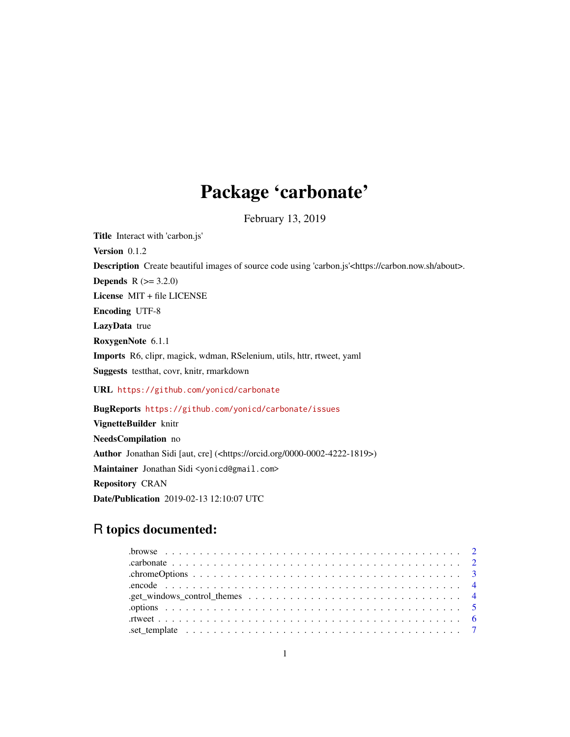## Package 'carbonate'

February 13, 2019

<span id="page-0-0"></span>Title Interact with 'carbon.js' Version 0.1.2 Description Create beautiful images of source code using 'carbon.js'<https://carbon.now.sh/about>. **Depends**  $R (= 3.2.0)$ License MIT + file LICENSE Encoding UTF-8 LazyData true RoxygenNote 6.1.1 Imports R6, clipr, magick, wdman, RSelenium, utils, httr, rtweet, yaml Suggests testthat, covr, knitr, rmarkdown URL <https://github.com/yonicd/carbonate> BugReports <https://github.com/yonicd/carbonate/issues>

VignetteBuilder knitr NeedsCompilation no Author Jonathan Sidi [aut, cre] (<https://orcid.org/0000-0002-4222-1819>) Maintainer Jonathan Sidi <yonicd@gmail.com> Repository CRAN Date/Publication 2019-02-13 12:10:07 UTC

## R topics documented: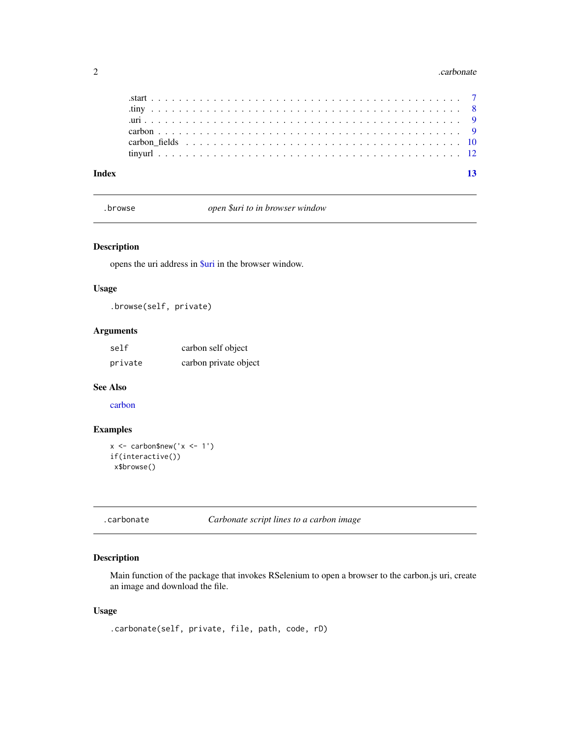#### <span id="page-1-0"></span> $2 \times 2$

.browse *open \$uri to in browser window*

### Description

opens the uri address in [\\$uri](#page-0-0) in the browser window.

### Usage

.browse(self, private)

### Arguments

| self    | carbon self object    |  |
|---------|-----------------------|--|
| private | carbon private object |  |

#### See Also

[carbon](#page-8-1)

### Examples

```
x \le - carbon$new('x \le -1')
if(interactive())
 x$browse()
```
.carbonate *Carbonate script lines to a carbon image*

### Description

Main function of the package that invokes RSelenium to open a browser to the carbon.js uri, create an image and download the file.

### Usage

```
.carbonate(self, private, file, path, code, rD)
```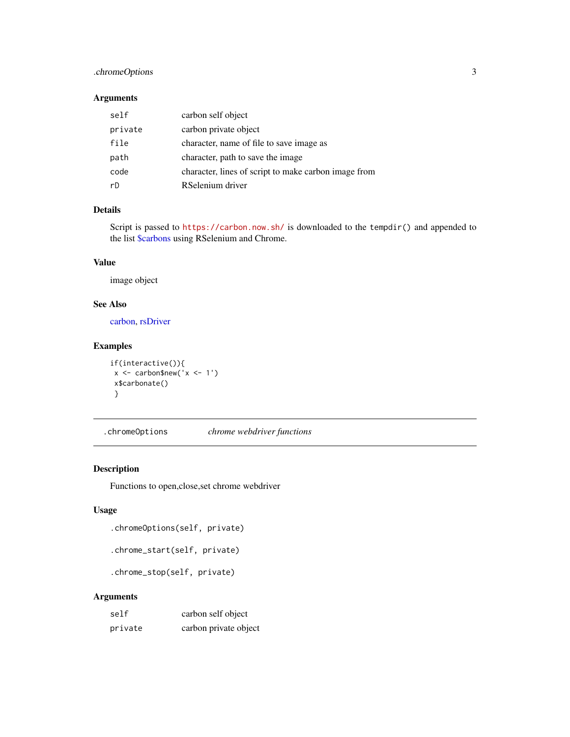### <span id="page-2-0"></span>.chromeOptions 3

### Arguments

| self    | carbon self object                                   |
|---------|------------------------------------------------------|
| private | carbon private object                                |
| file    | character, name of file to save image as             |
| path    | character, path to save the image                    |
| code    | character, lines of script to make carbon image from |
| rD      | RSelenium driver                                     |

### Details

Script is passed to <https://carbon.now.sh/> is downloaded to the tempdir() and appended to the list [\\$carbons](#page-0-0) using RSelenium and Chrome.

#### Value

image object

### See Also

[carbon,](#page-8-1) [rsDriver](#page-0-0)

### Examples

```
if(interactive()){
x \leftarrow carbon$new('x <- 1')
x$carbonate()
}
```
.chromeOptions *chrome webdriver functions*

#### Description

Functions to open,close,set chrome webdriver

#### Usage

.chromeOptions(self, private)

```
.chrome_start(self, private)
```
.chrome\_stop(self, private)

### Arguments

| self    | carbon self object    |  |
|---------|-----------------------|--|
| private | carbon private object |  |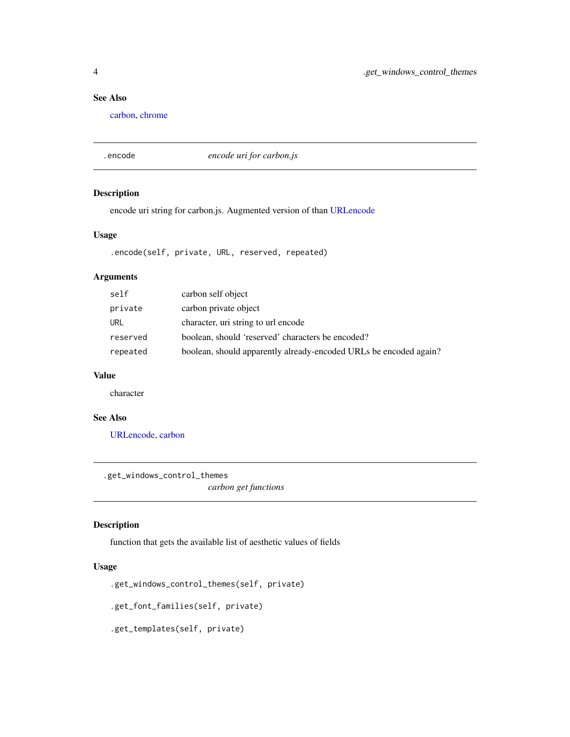### <span id="page-3-0"></span>See Also

[carbon,](#page-8-1) [chrome](#page-0-0)

.encode *encode uri for carbon.js*

### Description

encode uri string for carbon.js. Augmented version of than [URLencode](#page-0-0)

#### Usage

.encode(self, private, URL, reserved, repeated)

### Arguments

| self     | carbon self object                                                |
|----------|-------------------------------------------------------------------|
| private  | carbon private object                                             |
| URL      | character, uri string to url encode                               |
| reserved | boolean, should 'reserved' characters be encoded?                 |
| repeated | boolean, should apparently already-encoded URLs be encoded again? |

#### Value

character

### See Also

[URLencode,](#page-0-0) [carbon](#page-8-1)

.get\_windows\_control\_themes

*carbon get functions*

#### Description

function that gets the available list of aesthetic values of fields

### Usage

.get\_windows\_control\_themes(self, private)

.get\_font\_families(self, private)

.get\_templates(self, private)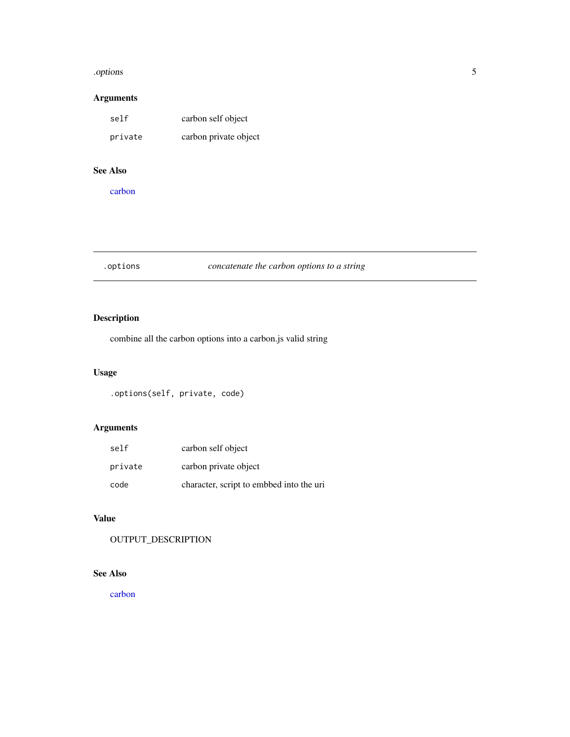#### <span id="page-4-0"></span>.options 5

### Arguments

| self    | carbon self object    |  |
|---------|-----------------------|--|
| private | carbon private object |  |

### See Also

[carbon](#page-8-1)

### .options *concatenate the carbon options to a string*

### Description

combine all the carbon options into a carbon.js valid string

### Usage

.options(self, private, code)

### Arguments

| self    | carbon self object                       |
|---------|------------------------------------------|
| private | carbon private object                    |
| code    | character, script to embbed into the uri |

### Value

OUTPUT\_DESCRIPTION

### See Also

[carbon](#page-8-1)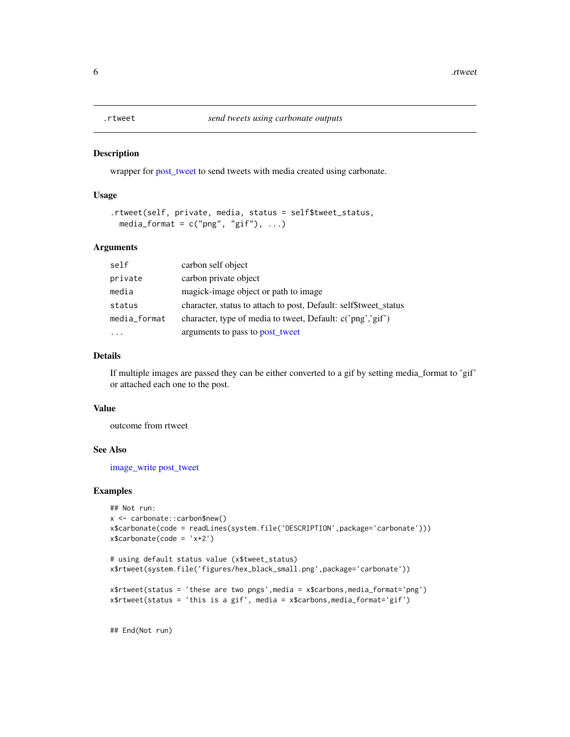<span id="page-5-0"></span>

#### Description

wrapper for [post\\_tweet](#page-0-0) to send tweets with media created using carbonate.

### Usage

```
.rtweet(self, private, media, status = self$tweet_status,
 media_format = c("png", "gif"), ...)
```
#### Arguments

| self         | carbon self object                                               |
|--------------|------------------------------------------------------------------|
| private      | carbon private object                                            |
| media        | magick-image object or path to image                             |
| status       | character, status to attach to post, Default: self\$tweet_status |
| media_format | character, type of media to tweet, Default: c('png','gif')       |
|              | arguments to pass to post_tweet                                  |

#### Details

If multiple images are passed they can be either converted to a gif by setting media\_format to 'gif' or attached each one to the post.

#### Value

outcome from rtweet

### See Also

[image\\_write](#page-0-0) [post\\_tweet](#page-0-0)

### Examples

```
## Not run:
x <- carbonate::carbon$new()
x$carbonate(code = readLines(system.file('DESCRIPTION',package='carbonate')))
x$carbonate(code = 'x+2')
# using default status value (x$tweet_status)
x$rtweet(system.file('figures/hex_black_small.png',package='carbonate'))
x$rtweet(status = 'these are two pngs',media = x$carbons,media_format='png')
x$rtweet(status = 'this is a gif', media = x$carbons,media_format='gif')
```
## End(Not run)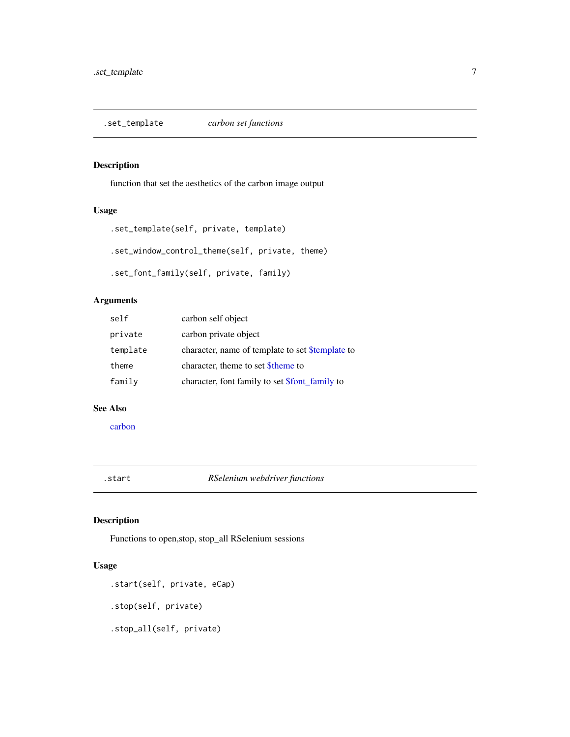<span id="page-6-0"></span>.set\_template *carbon set functions*

### Description

function that set the aesthetics of the carbon image output

### Usage

```
.set_template(self, private, template)
.set_window_control_theme(self, private, theme)
.set_font_family(self, private, family)
```
### Arguments

| carbon self object                                    |
|-------------------------------------------------------|
| carbon private object                                 |
| character, name of template to set \$template to      |
| character, theme to set <i>Stheme</i> to              |
| character, font family to set <b>\$font</b> family to |
|                                                       |

#### See Also

[carbon](#page-8-1)

.start *RSelenium webdriver functions*

### Description

Functions to open,stop, stop\_all RSelenium sessions

### Usage

.start(self, private, eCap) .stop(self, private)

.stop\_all(self, private)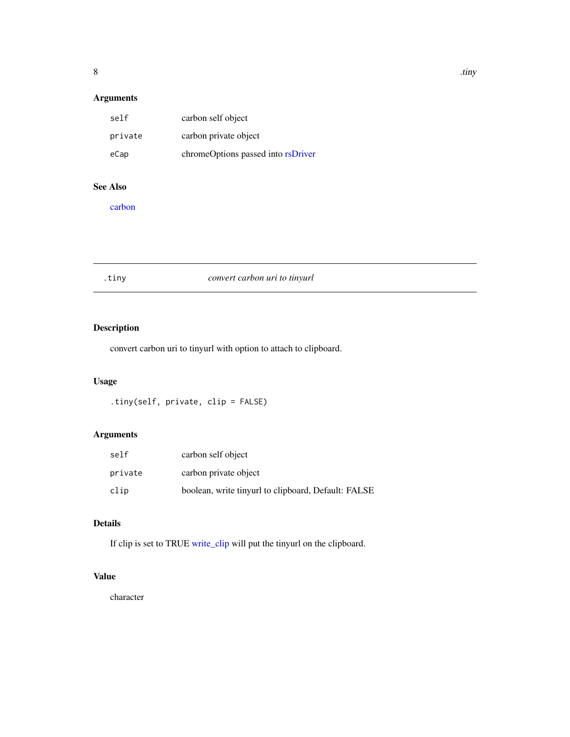### <span id="page-7-0"></span>Arguments

| self    | carbon self object                 |
|---------|------------------------------------|
| private | carbon private object              |
| eCap    | chromeOptions passed into rsDriver |

#### See Also

[carbon](#page-8-1)

### .tiny *convert carbon uri to tinyurl*

### Description

convert carbon uri to tinyurl with option to attach to clipboard.

### Usage

.tiny(self, private, clip = FALSE)

### Arguments

| self    | carbon self object                                  |
|---------|-----------------------------------------------------|
| private | carbon private object                               |
| clip    | boolean, write tinyurl to clipboard, Default: FALSE |

### Details

If clip is set to TRUE [write\\_clip](#page-0-0) will put the tinyurl on the clipboard.

### Value

character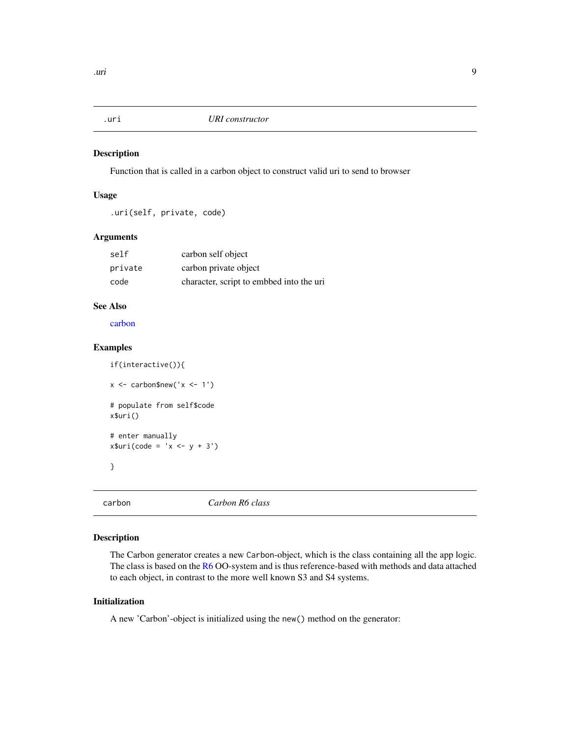<span id="page-8-0"></span>

### Description

Function that is called in a carbon object to construct valid uri to send to browser

### Usage

.uri(self, private, code)

### Arguments

| self    | carbon self object                       |
|---------|------------------------------------------|
| private | carbon private object                    |
| code    | character, script to embbed into the uri |

### See Also

[carbon](#page-8-1)

### Examples

```
if(interactive()){
x \le - carbon$new('x \le -1')
# populate from self$code
x$uri()
# enter manually
x$uri(code = 'x <- y + 3')
}
```
<span id="page-8-1"></span>

carbon *Carbon R6 class*

### Description

The Carbon generator creates a new Carbon-object, which is the class containing all the app logic. The class is based on the [R6](#page-0-0) OO-system and is thus reference-based with methods and data attached to each object, in contrast to the more well known S3 and S4 systems.

#### Initialization

A new 'Carbon'-object is initialized using the new() method on the generator: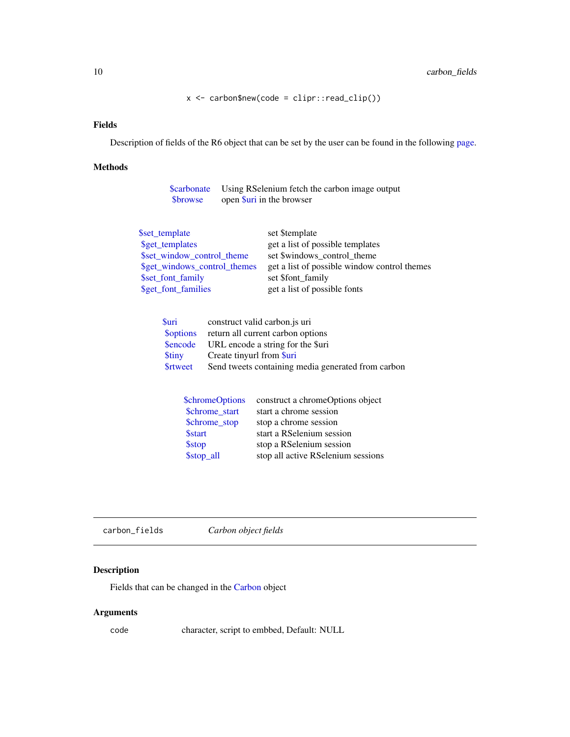x <- carbon\$new(code = clipr::read\_clip())

#### <span id="page-9-0"></span>Fields

Description of fields of the R6 object that can be set by the user can be found in the following [page.](#page-0-0)

### Methods

| <b>Sprowse</b> | <b>\$carbonate</b> Using RSelenium fetch the carbon image output<br>open Suri in the browser |  |
|----------------|----------------------------------------------------------------------------------------------|--|
| \$set_template | set \$template<br>$\sim$ $\sim$ $\sim$ $\sim$ $\sim$<br>$\cdots$                             |  |

| \$get_templates              | get a list of possible templates             |
|------------------------------|----------------------------------------------|
| \$set window control theme   | set \$windows_control_theme                  |
| \$get_windows_control_themes | get a list of possible window control themes |
| \$set_font_family            | set \$font family                            |
| \$get_font_families          | get a list of possible fonts                 |
|                              |                                              |

| Suri            | construct valid carbon.js uri                      |
|-----------------|----------------------------------------------------|
| <b>Soptions</b> | return all current carbon options                  |
|                 | Sencode URL encode a string for the Suri           |
| <b>Stiny</b>    | Create tinyurl from <i>Suri</i>                    |
| <b>Srtweet</b>  | Send tweets containing media generated from carbon |

| <b>\$chromeOptions</b> | construct a chromeOptions object   |
|------------------------|------------------------------------|
| \$chrome start         | start a chrome session             |
| \$chrome_stop          | stop a chrome session              |
| <b>\$start</b>         | start a RSelenium session          |
| <b>\$stop</b>          | stop a RSelenium session           |
| \$stop_all             | stop all active RSelenium sessions |

carbon\_fields *Carbon object fields*

### Description

Fields that can be changed in the [Carbon](#page-0-0) object

### Arguments

code character, script to embbed, Default: NULL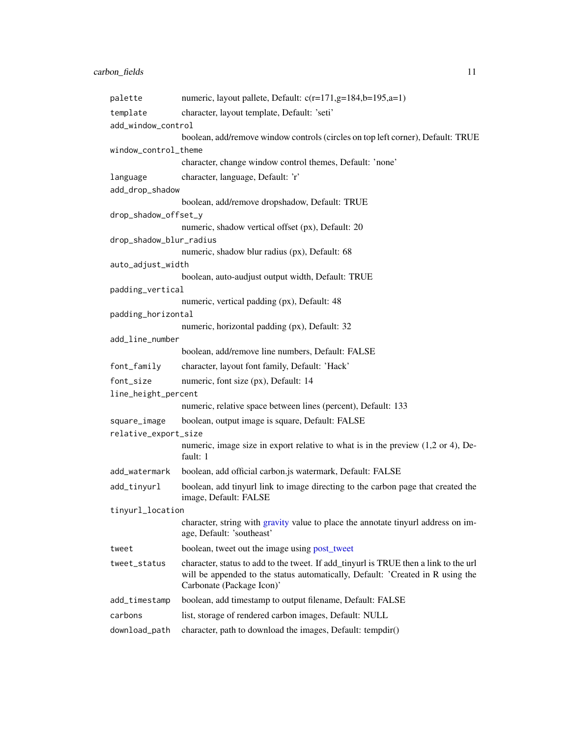<span id="page-10-0"></span>

| palette                 | numeric, layout pallete, Default: $c(r=171,g=184,b=195,a=1)$                                                                                                                                        |
|-------------------------|-----------------------------------------------------------------------------------------------------------------------------------------------------------------------------------------------------|
| template                | character, layout template, Default: 'seti'                                                                                                                                                         |
| add_window_control      |                                                                                                                                                                                                     |
|                         | boolean, add/remove window controls (circles on top left corner), Default: TRUE                                                                                                                     |
| window_control_theme    |                                                                                                                                                                                                     |
|                         | character, change window control themes, Default: 'none'                                                                                                                                            |
| language                | character, language, Default: 'r'                                                                                                                                                                   |
| add_drop_shadow         |                                                                                                                                                                                                     |
|                         | boolean, add/remove dropshadow, Default: TRUE                                                                                                                                                       |
| drop_shadow_offset_y    |                                                                                                                                                                                                     |
|                         | numeric, shadow vertical offset (px), Default: 20                                                                                                                                                   |
| drop_shadow_blur_radius |                                                                                                                                                                                                     |
|                         | numeric, shadow blur radius (px), Default: 68                                                                                                                                                       |
| auto_adjust_width       | boolean, auto-audjust output width, Default: TRUE                                                                                                                                                   |
| padding_vertical        |                                                                                                                                                                                                     |
|                         | numeric, vertical padding (px), Default: 48                                                                                                                                                         |
| padding_horizontal      |                                                                                                                                                                                                     |
|                         | numeric, horizontal padding (px), Default: 32                                                                                                                                                       |
| add_line_number         |                                                                                                                                                                                                     |
|                         | boolean, add/remove line numbers, Default: FALSE                                                                                                                                                    |
| font_family             | character, layout font family, Default: 'Hack'                                                                                                                                                      |
| font_size               | numeric, font size (px), Default: 14                                                                                                                                                                |
| line_height_percent     |                                                                                                                                                                                                     |
|                         | numeric, relative space between lines (percent), Default: 133                                                                                                                                       |
| square_image            | boolean, output image is square, Default: FALSE                                                                                                                                                     |
| relative_export_size    |                                                                                                                                                                                                     |
|                         | numeric, image size in export relative to what is in the preview $(1,2 \text{ or } 4)$ , De-<br>fault: 1                                                                                            |
| add_watermark           | boolean, add official carbon.js watermark, Default: FALSE                                                                                                                                           |
| add_tinyurl             | boolean, add tinyurl link to image directing to the carbon page that created the<br>image, Default: FALSE                                                                                           |
| tinyurl_location        |                                                                                                                                                                                                     |
|                         | character, string with gravity value to place the annotate tinyurl address on im-<br>age, Default: 'southeast'                                                                                      |
| tweet                   | boolean, tweet out the image using post_tweet                                                                                                                                                       |
| tweet_status            | character, status to add to the tweet. If add_tinyurl is TRUE then a link to the url<br>will be appended to the status automatically, Default: 'Created in R using the<br>Carbonate (Package Icon)' |
| add_timestamp           | boolean, add timestamp to output filename, Default: FALSE                                                                                                                                           |
| carbons                 | list, storage of rendered carbon images, Default: NULL                                                                                                                                              |
| download_path           | character, path to download the images, Default: tempdir()                                                                                                                                          |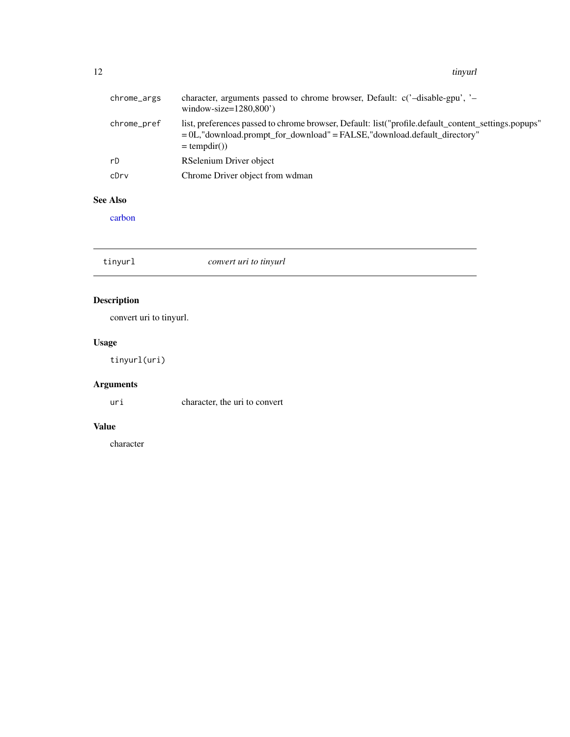<span id="page-11-0"></span>12 tinyurl

| chrome_args | character, arguments passed to chrome browser, Default: c('-disable-gpu', '-<br>window-size= $1280,800'$ )                                                                                        |
|-------------|---------------------------------------------------------------------------------------------------------------------------------------------------------------------------------------------------|
| chrome_pref | list, preferences passed to chrome browser, Default: list("profile.default_content_settings.popups"<br>= 0L,"download.prompt_for_download" = FALSE,"download.default_directory"<br>$=$ tempdir()) |
| rD          | RSelenium Driver object                                                                                                                                                                           |
| cDrv        | Chrome Driver object from wdman                                                                                                                                                                   |

### See Also

[carbon](#page-8-1)

tinyurl *convert uri to tinyurl*

### Description

convert uri to tinyurl.

### Usage

tinyurl(uri)

### Arguments

uri character, the uri to convert

### Value

character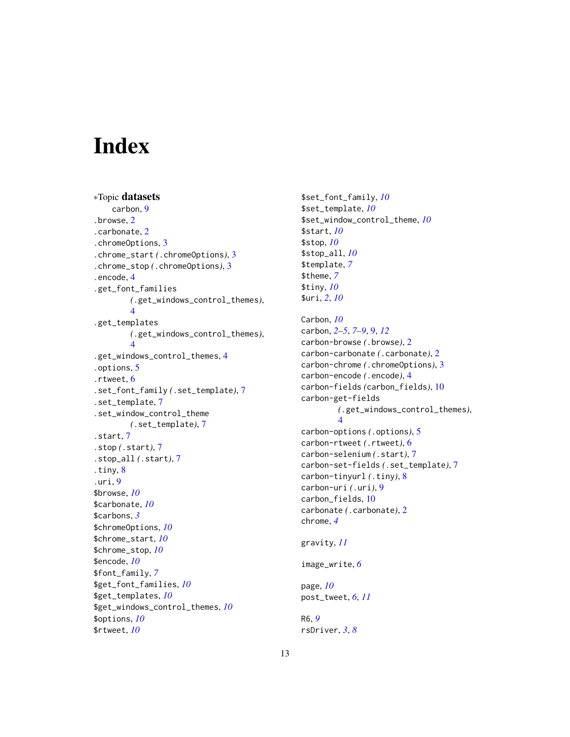# <span id="page-12-0"></span>Index

```
∗Topic datasets
    carbon, 9
.browse, 2
.carbonate, 2
.chromeOptions, 3
.chrome_start (.chromeOptions), 3
.chrome_stop (.chromeOptions), 3
.encode, 4
.get_font_families
        (.get_windows_control_themes),
        4
.get_templates
        (.get_windows_control_themes),
        4
.get_windows_control_themes, 4
.options, 5
.rtweet, 6
.set_font_family (.set_template), 7
.set_template, 7
.set_window_control_theme
        (.set_template), 7
.start, 7
.stop (.start), 7
.stop_all (.start), 7
.tiny, 8
.uri, 9
$browse, 10
$carbonate, 10
$carbons, 3
$chromeOptions, 10
$chrome_start, 10
$chrome_stop, 10
$encode, 10
$font_family, 7
$get_font_families, 10
$get_templates, 10
$get_windows_control_themes, 10
$options, 10
$rtweet, 10
```
\$set\_font\_family, *[10](#page-9-0)* \$set\_template, *[10](#page-9-0)* \$set\_window\_control\_theme, *[10](#page-9-0)* \$start, *[10](#page-9-0)* \$stop, *[10](#page-9-0)* \$stop\_all, *[10](#page-9-0)* \$template, *[7](#page-6-0)* \$theme, *[7](#page-6-0)* \$tiny, *[10](#page-9-0)* \$uri, *[2](#page-1-0)*, *[10](#page-9-0)* Carbon, *[10](#page-9-0)* carbon, *[2](#page-1-0)[–5](#page-4-0)*, *[7](#page-6-0)[–9](#page-8-0)*, [9,](#page-8-0) *[12](#page-11-0)* carbon-browse *(*.browse*)*, [2](#page-1-0) carbon-carbonate *(*.carbonate*)*, [2](#page-1-0) carbon-chrome *(*.chromeOptions*)*, [3](#page-2-0) carbon-encode *(*.encode*)*, [4](#page-3-0) carbon-fields *(*carbon\_fields*)*, [10](#page-9-0) carbon-get-fields *(*.get\_windows\_control\_themes*)*, [4](#page-3-0) carbon-options *(*.options*)*, [5](#page-4-0) carbon-rtweet *(*.rtweet*)*, [6](#page-5-0) carbon-selenium *(*.start*)*, [7](#page-6-0) carbon-set-fields *(*.set\_template*)*, [7](#page-6-0) carbon-tinyurl *(*.tiny*)*, [8](#page-7-0) carbon-uri *(*.uri*)*, [9](#page-8-0) carbon\_fields, [10](#page-9-0) carbonate *(*.carbonate*)*, [2](#page-1-0) chrome, *[4](#page-3-0)* gravity, *[11](#page-10-0)* image\_write, *[6](#page-5-0)* page, *[10](#page-9-0)*

R6, *[9](#page-8-0)* rsDriver, *[3](#page-2-0)*, *[8](#page-7-0)*

post\_tweet, *[6](#page-5-0)*, *[11](#page-10-0)*